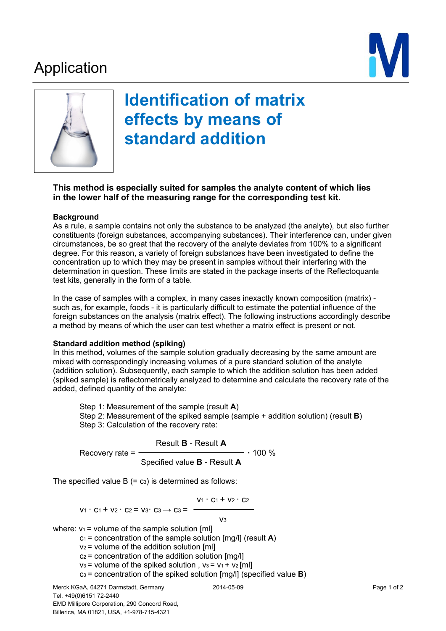## Application





# **Identification of matrix effects by means of standard addition**

### **This method is especially suited for samples the analyte content of which lies in the lower half of the measuring range for the corresponding test kit.**

#### **Background**

As a rule, a sample contains not only the substance to be analyzed (the analyte), but also further constituents (foreign substances, accompanying substances). Their interference can, under given circumstances, be so great that the recovery of the analyte deviates from 100% to a significant degree. For this reason, a variety of foreign substances have been investigated to define the concentration up to which they may be present in samples without their interfering with the determination in question. These limits are stated in the package inserts of the Reflectoquant® test kits, generally in the form of a table.

In the case of samples with a complex, in many cases inexactly known composition (matrix) such as, for example, foods - it is particularly difficult to estimate the potential influence of the foreign substances on the analysis (matrix effect). The following instructions accordingly describe a method by means of which the user can test whether a matrix effect is present or not.

#### **Standard addition method (spiking)**

In this method, volumes of the sample solution gradually decreasing by the same amount are mixed with correspondingly increasing volumes of a pure standard solution of the analyte (addition solution). Subsequently, each sample to which the addition solution has been added (spiked sample) is reflectometrically analyzed to determine and calculate the recovery rate of the added, defined quantity of the analyte:

Step 1: Measurement of the sample (result **A**) Step 2: Measurement of the spiked sample (sample + addition solution) (result **B**) Step 3: Calculation of the recovery rate:

Result **B** - Result **A**  Recovery rate = **·** 100 % Specified value **B** - Result **A** 

The specified value  $B (= c<sub>3</sub>)$  is determined as follows:

$$
V_1 \cdot C_1 + V_2 \cdot C_2
$$

 $V_1$   $\cdot$  C<sub>1</sub> + V<sub>2</sub>  $\cdot$  C<sub>2</sub> = V<sub>3</sub> $\cdot$  C<sub>3</sub>  $\rightarrow$  C<sub>3</sub> =  $\rightarrow$ v<sub>3</sub>

$$
\mathsf{V}3
$$

where:  $v_1$  = volume of the sample solution [ml]

c1 = concentration of the sample solution [mg/l] (result **A**)

 $v_2$  = volume of the addition solution [ml]

 $c_2$  = concentration of the addition solution [mg/l]

 $v_3$  = volume of the spiked solution,  $v_3 = v_1 + v_2$  [ml]

c3 = concentration of the spiked solution [mg/l] (specified value **B**)